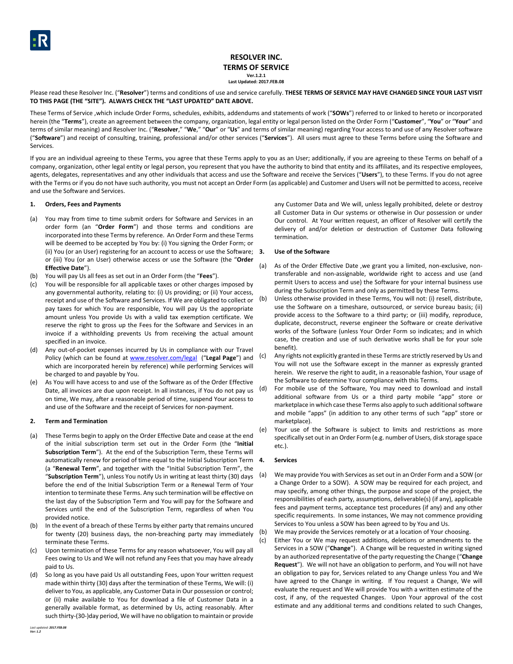# **RESOLVER INC. TERMS OF SERVICE Ver.1.2.1 Last Updated: 2017.FEB.08**

Please read these Resolver Inc. ("Resolver") terms and conditions of use and service carefully. THESE TERMS OF SERVICE MAY HAVE CHANGED SINCE YOUR LAST VISIT **TO THIS PAGE (THE "SITE"). ALWAYS CHECK THE "LAST UPDATED" DATE ABOVE.**

These Terms of Service ,which include Order Forms, schedules, exhibits, addendums and statements of work ("**SOWs**") referred to or linked to hereto or incorporated herein (the "**Terms**"), create an agreement between the company, organization, legal entity or legal person listed on the Order Form ("**Customer**", "**You**" or "**Your**" and terms of similar meaning) and Resolver Inc. ("**Resolver**," "**We**," "**Our**" or "**Us**" and terms of similar meaning) regarding Your access to and use of any Resolver software ("**Software**") and receipt of consulting, training, professional and/or other services ("**Services**"). All users must agree to these Terms before using the Software and Services.

If you are an individual agreeing to these Terms, you agree that these Terms apply to you as an User; additionally, if you are agreeing to these Terms on behalf of a company, organization, other legal entity or legal person, you represent that you have the authority to bind that entity and its affiliates, and its respective employees, agents, delegates, representatives and any other individuals that access and use the Software and receive the Services ("**Users**"), to these Terms. If you do not agree with the Terms or if you do not have such authority, you must not accept an Order Form (as applicable) and Customer and Users will not be permitted to access, receive and use the Software and Services.

## **1. Orders, Fees and Payments**

- (a) You may from time to time submit orders for Software and Services in an order form (an "**Order Form**") and those terms and conditions are incorporated into these Terms by reference. An Order Form and these Terms will be deemed to be accepted by You by: (i) You signing the Order Form; or (ii) You (or an User) registering for an account to access or use the Software; 3. or (iii) You (or an User) otherwise access or use the Software (the "**Order Effective Date**").
- (b) You will pay Us all fees as set out in an Order Form (the "**Fees**").
- (c) You will be responsible for all applicable taxes or other charges imposed by any governmental authority, relating to: (i) Us providing; or (ii) Your access, receipt and use of the Software and Services. If We are obligated to collect or pay taxes for which You are responsible, You will pay Us the appropriate amount unless You provide Us with a valid tax exemption certificate. We reserve the right to gross up the Fees for the Software and Services in an invoice if a withholding prevents Us from receiving the actual amount specified in an invoice.
- (d) Any out-of-pocket expenses incurred by Us in compliance with our Travel Policy (which can be found at [www.resolver.com/legal](http://www.resolver.com/legal) ("**Legal Page**") and which are incorporated herein by reference) while performing Services will be charged to and payable by You.
- (e) As You will have access to and use of the Software as of the Order Effective Date, all invoices are due upon receipt. In all instances, if You do not pay us on time, We may, after a reasonable period of time, suspend Your access to and use of the Software and the receipt of Services for non-payment.

## **2. Term and Termination**

- (a) These Terms begin to apply on the Order Effective Date and cease at the end of the initial subscription term set out in the Order Form (the "**Initial Subscription Term**"). At the end of the Subscription Term, these Terms will automatically renew for period of time equal to the Initial Subscription Term 4. (a "**Renewal Term**", and together with the "Initial Subscription Term", the "**Subscription Term**"), unless You notify Us in writing at least thirty (30) days before the end of the Initial Subscription Term or a Renewal Term of Your intention to terminate these Terms. Any such termination will be effective on the last day of the Subscription Term and You will pay for the Software and Services until the end of the Subscription Term, regardless of when You provided notice.
- In the event of a breach of these Terms by either party that remains uncured for twenty (20) business days, the non-breaching party may immediately terminate these Terms.
- (c) Upon termination of these Terms for any reason whatsoever, You will pay all Fees owing to Us and We will not refund any Fees that you may have already paid to Us.
- (d) So long as you have paid Us all outstanding Fees, upon Your written request made within thirty (30) days after the termination of these Terms, We will: (i) deliver to You, as applicable, any Customer Data in Our possession or control; or (ii) make available to You for download a file of Customer Data in a generally available format, as determined by Us, acting reasonably. After such thirty-(30-)day period, We will have no obligation to maintain or provide

any Customer Data and We will, unless legally prohibited, delete or destroy all Customer Data in Our systems or otherwise in Our possession or under Our control. At Your written request, an officer of Resolver will certify the delivery of and/or deletion or destruction of Customer Data following termination.

## **3. Use of the Software**

- (a) As of the Order Effective Date ,we grant you a limited, non-exclusive, nontransferable and non-assignable, worldwide right to access and use (and permit Users to access and use) the Software for your internal business use during the Subscription Term and only as permitted by these Terms.
- (b) Unless otherwise provided in these Terms, You will not: (i) resell, distribute, use the Software on a timeshare, outsourced, or service bureau basis; (ii) provide access to the Software to a third party; or (iii) modify, reproduce, duplicate, deconstruct, reverse engineer the Software or create derivative works of the Software (unless Your Order Form so indicates; and in which case, the creation and use of such derivative works shall be for your sole benefit).
- (c) Any rights not explicitly granted in these Terms are strictly reserved by Us and You will not use the Software except in the manner as expressly granted herein. We reserve the right to audit, in a reasonable fashion, Your usage of the Software to determine Your compliance with this Terms.
- (d) For mobile use of the Software, You may need to download and install additional software from Us or a third party mobile "app" store or marketplace in which case these Terms also apply to such additional software and mobile "apps" (in addition to any other terms of such "app" store or marketplace).
- (e) Your use of the Software is subject to limits and restrictions as more specifically set out in an Order Form (e.g. number of Users, disk storage space etc.).

## **4. Services**

- (a) We may provide You with Services as set out in an Order Form and a SOW (or a Change Order to a SOW). A SOW may be required for each project, and may specify, among other things, the purpose and scope of the project, the responsibilities of each party, assumptions, deliverable(s) (if any), applicable fees and payment terms, acceptance test procedures (if any) and any other specific requirements. In some instances, We may not commence providing Services to You unless a SOW has been agreed to by You and Us.
- (b) We may provide the Services remotely or at a location of Your choosing.
- (c) Either You or We may request additions, deletions or amendments to the Services in a SOW ("**Change**"). A Change will be requested in writing signed by an authorized representative of the party requesting the Change ("**Change Request**"). We will not have an obligation to perform, and You will not have an obligation to pay for, Services related to any Change unless You and We have agreed to the Change in writing. If You request a Change, We will evaluate the request and We will provide You with a written estimate of the cost, if any, of the requested Changes. Upon Your approval of the cost estimate and any additional terms and conditions related to such Changes,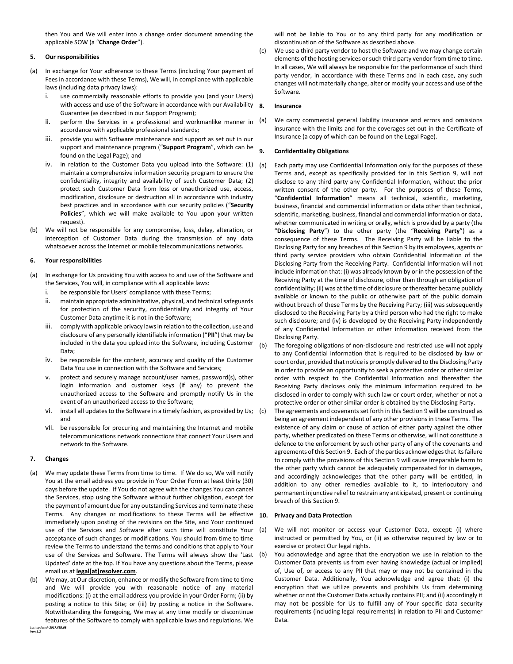then You and We will enter into a change order document amending the applicable SOW (a "**Change Order**").

### **5. Our responsibilities**

- (a) In exchange for Your adherence to these Terms (including Your payment of Fees in accordance with these Terms), We will, in compliance with applicable laws (including data privacy laws):
	- i. use commercially reasonable efforts to provide you (and your Users) with access and use of the Software in accordance with our Availability 8. Guarantee (as described in our Support Program);
	- ii. perform the Services in a professional and workmanlike manner in  $(a)$ accordance with applicable professional standards;
	- iii. provide you with Software maintenance and support as set out in our support and maintenance program ("**Support Program**", which can be found on the Legal Page); and
	- iv. in relation to the Customer Data you upload into the Software:  $(1)$   $(a)$ maintain a comprehensive information security program to ensure the confidentiality, integrity and availability of such Customer Data; (2) protect such Customer Data from loss or unauthorized use, access, modification, disclosure or destruction all in accordance with industry best practices and in accordance with our security policies ("**Security Policies**", which we will make available to You upon your written request).
- (b) We will not be responsible for any compromise, loss, delay, alteration, or interception of Customer Data during the transmission of any data whatsoever across the Internet or mobile telecommunications networks.

#### **6. Your responsibilities**

- (a) In exchange for Us providing You with access to and use of the Software and the Services, You will, in compliance with all applicable laws:
	- i. be responsible for Users' compliance with these Terms;
	- ii. maintain appropriate administrative, physical, and technical safeguards for protection of the security, confidentiality and integrity of Your Customer Data anytime it is not in the Software;
	- iii. comply with applicable privacy laws in relation to the collection, use and disclosure of any personally identifiable information ("**PII**") that may be included in the data you upload into the Software, including Customer Data;
	- iv. be responsible for the content, accuracy and quality of the Customer Data You use in connection with the Software and Services;
	- v. protect and securely manage account/user names, password(s), other login information and customer keys (if any) to prevent the unauthorized access to the Software and promptly notify Us in the event of an unauthorized access to the Software;
	- vi. install all updates to the Software in a timely fashion, as provided by Us; and
	- vii. be responsible for procuring and maintaining the Internet and mobile telecommunications network connections that connect Your Users and network to the Software.

#### **7. Changes**

- (a) We may update these Terms from time to time. If We do so, We will notify You at the email address you provide in Your Order Form at least thirty (30) days before the update. If You do not agree with the changes You can cancel the Services, stop using the Software without further obligation, except for the payment of amount due for any outstanding Services and terminate these Terms. Any changes or modifications to these Terms will be effective immediately upon posting of the revisions on the Site, and Your continued use of the Services and Software after such time will constitute Your acceptance of such changes or modifications. You should from time to time review the Terms to understand the terms and conditions that apply to Your use of the Services and Software. The Terms will always show the 'Last Updated' date at the top. If You have any questions about the Terms, please email us at **legal[at]resolver.com**.
- *Last updated: 2017.FEB.08* We may, at Our discretion, enhance or modify the Software from time to time and We will provide you with reasonable notice of any material modifications: (i) at the email address you provide in your Order Form; (ii) by posting a notice to this Site; or (iii) by posting a notice in the Software. Notwithstanding the foregoing, We may at any time modify or discontinue features of the Software to comply with applicable laws and regulations. We

will not be liable to You or to any third party for any modification or discontinuation of the Software as described above.

(c) We use a third party vendor to host the Software and we may change certain elements of the hosting services or such third party vendor from time to time. In all cases, We will always be responsible for the performance of such third party vendor, in accordance with these Terms and in each case, any such changes will not materially change, alter or modify your access and use of the Software.

#### **8. Insurance**

We carry commercial general liability insurance and errors and omissions insurance with the limits and for the coverages set out in the Certificate of Insurance (a copy of which can be found on the Legal Page).

## <span id="page-1-0"></span>**9. Confidentiality Obligations**

- Each party may use Confidential Information only for the purposes of these Terms and, except as specifically provided for in this Section [9,](#page-1-0) will not disclose to any third party any Confidential Information, without the prior written consent of the other party. For the purposes of these Terms, "**Confidential Information**" means all technical, scientific, marketing, business, financial and commercial information or data other than technical, scientific, marketing, business, financial and commercial information or data, whether communicated in writing or orally, which is provided by a party (the "**Disclosing Party**") to the other party (the "**Receiving Party**") as a consequence of these Terms. The Receiving Party will be liable to the Disclosing Party for any breaches of this Sectio[n 9](#page-1-0) by its employees, agents or third party service providers who obtain Confidential Information of the Disclosing Party from the Receiving Party. Confidential Information will not include information that: (i) was already known by or in the possession of the Receiving Party at the time of disclosure, other than through an obligation of confidentiality; (ii) was at the time of disclosure or thereafter became publicly available or known to the public or otherwise part of the public domain without breach of these Terms by the Receiving Party; (iii) was subsequently disclosed to the Receiving Party by a third person who had the right to make such disclosure; and (iv) is developed by the Receiving Party independently of any Confidential Information or other information received from the Disclosing Party.
- (b) The foregoing obligations of non-disclosure and restricted use will not apply to any Confidential Information that is required to be disclosed by law or court order, provided that notice is promptly delivered to the Disclosing Party in order to provide an opportunity to seek a protective order or other similar order with respect to the Confidential Information and thereafter the Receiving Party discloses only the minimum information required to be disclosed in order to comply with such law or court order, whether or not a protective order or other similar order is obtained by the Disclosing Party.
	- The agreements and covenants set forth in this Sectio[n 9](#page-1-0) will be construed as being an agreement independent of any other provisions in these Terms. The existence of any claim or cause of action of either party against the other party, whether predicated on these Terms or otherwise, will not constitute a defence to the enforcement by such other party of any of the covenants and agreements of this Sectio[n 9.](#page-1-0) Each of the parties acknowledges that its failure to comply with the provisions of this Sectio[n 9](#page-1-0) will cause irreparable harm to the other party which cannot be adequately compensated for in damages, and accordingly acknowledges that the other party will be entitled, in addition to any other remedies available to it, to interlocutory and permanent injunctive relief to restrain any anticipated, present or continuing breach of this Sectio[n 9.](#page-1-0)

### **10. Privacy and Data Protection**

- (a) We will not monitor or access your Customer Data, except: (i) where instructed or permitted by You, or (ii) as otherwise required by law or to exercise or protect Our legal rights.
- (b) You acknowledge and agree that the encryption we use in relation to the Customer Data prevents us from ever having knowledge (actual or implied) of, Use of, or access to any PII that may or may not be contained in the Customer Data. Additionally, You acknowledge and agree that: (i) the encryption that we utilize prevents and prohibits Us from determining whether or not the Customer Data actually contains PII; and (ii) accordingly it may not be possible for Us to fulfill any of Your specific data security requirements (including legal requirements) in relation to PII and Customer Data.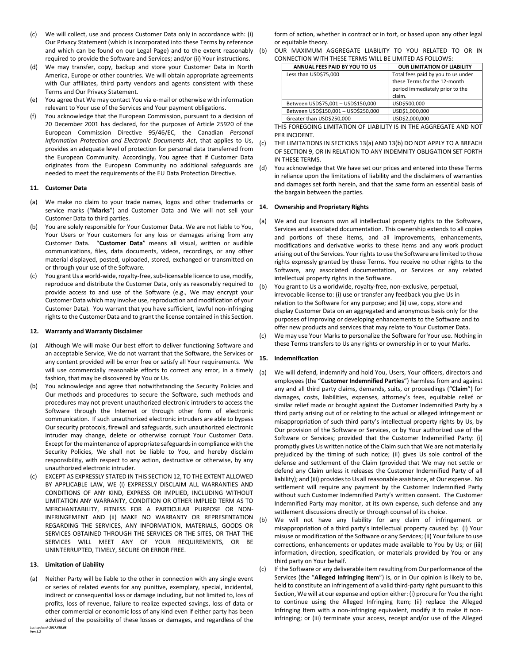- (c) We will collect, use and process Customer Data only in accordance with: (i) Our Privacy Statement (which is incorporated into these Terms by reference and which can be found on our Legal Page) and to the extent reasonably required to provide the Software and Services; and/or (ii) Your instructions.
- (d) We may transfer, copy, backup and store your Customer Data in North America, Europe or other countries. We will obtain appropriate agreements with Our affiliates, third party vendors and agents consistent with these Terms and Our Privacy Statement.
- (e) You agree that We may contact You via e-mail or otherwise with information relevant to Your use of the Services and Your payment obligations.
- (f) You acknowledge that the European Commission, pursuant to a decision of 20 December 2001 has declared, for the purposes of Article 25920 of the European Commission Directive 95/46/EC, the Canadian *Personal Information Protection and Electronic Documents Act*, that applies to Us, provides an adequate level of protection for personal data transferred from the European Community. Accordingly, You agree that if Customer Data originates from the European Community no additional safeguards are needed to meet the requirements of the EU Data Protection Directive.

# **11. Customer Data**

- (a) We make no claim to your trade names, logos and other trademarks or service marks ("**Marks**") and Customer Data and We will not sell your Customer Data to third parties.
- (b) You are solely responsible for Your Customer Data. We are not liable to You, Your Users or Your customers for any loss or damages arising from any Customer Data. "**Customer Data**" means all visual, written or audible communications, files, data documents, videos, recordings, or any other material displayed, posted, uploaded, stored, exchanged or transmitted on or through your use of the Software.
- (c) You grant Us a world-wide, royalty-free, sub-licensable licence to use, modify, reproduce and distribute the Customer Data, only as reasonably required to provide access to and use of the Software (e.g., We may encrypt your Customer Data which may involve use, reproduction and modification of your Customer Data). You warrant that you have sufficient, lawful non-infringing rights to the Customer Data and to grant the license contained in this Section.

### <span id="page-2-0"></span>**12. Warranty and Warranty Disclaimer**

- (a) Although We will make Our best effort to deliver functioning Software and an acceptable Service, We do not warrant that the Software, the Services or any content provided will be error free or satisfy all Your requirements. We will use commercially reasonable efforts to correct any error, in a timely fashion, that may be discovered by You or Us.
- (b) You acknowledge and agree that notwithstanding the Security Policies and Our methods and procedures to secure the Software, such methods and procedures may not prevent unauthorized electronic intruders to access the Software through the Internet or through other form of electronic communication. If such unauthorized electronic intruders are able to bypass Our security protocols, firewall and safeguards, such unauthorized electronic intruder may change, delete or otherwise corrupt Your Customer Data. Except for the maintenance of appropriate safeguards in compliance with the Security Policies, We shall not be liable to You, and hereby disclaim responsibility, with respect to any action, destructive or otherwise, by any unauthorized electronic intruder.
- (c) EXCEPT AS EXPRESSLY STATED IN THIS SECTIO[N 12,](#page-2-0) TO THE EXTENT ALLOWED BY APPLICABLE LAW, WE (i) EXPRESSLY DISCLAIM ALL WARRANTIES AND CONDITIONS OF ANY KIND, EXPRESS OR IMPLIED, INCLUDING WITHOUT LIMITATION ANY WARRANTY, CONDITION OR OTHER IMPLIED TERM AS TO MERCHANTABILITY, FITNESS FOR A PARTICULAR PURPOSE OR NON-INFRINGEMENT AND (ii) MAKE NO WARRANTY OR REPRESENTATION REGARDING THE SERVICES, ANY INFORMATION, MATERIALS, GOODS OR SERVICES OBTAINED THROUGH THE SERVICES OR THE SITES, OR THAT THE SERVICES WILL MEET ANY OF YOUR REQUIREMENTS, OR BE UNINTERRUPTED, TIMELY, SECURE OR ERROR FREE.

#### **13. Limitation of Liability**

<span id="page-2-1"></span>*Last updated: 2017.FEB.08* (a) Neither Party will be liable to the other in connection with any single event or series of related events for any punitive, exemplary, special, incidental, indirect or consequential loss or damage including, but not limited to, loss of profits, loss of revenue, failure to realize expected savings, loss of data or other commercial or economic loss of any kind even if either party has been advised of the possibility of these losses or damages, and regardless of the

form of action, whether in contract or in tort, or based upon any other legal or equitable theory.

<span id="page-2-2"></span>(b) OUR MAXIMUM AGGREGATE LIABILITY TO YOU RELATED TO OR IN CONNECTION WITH THESE TERMS WILL BE LIMITED AS FOLLOWS:

| ANNUAL FEES PAID BY YOU TO US       | <b>OUR LIMITATION OF LIABILITY</b>                                                                              |
|-------------------------------------|-----------------------------------------------------------------------------------------------------------------|
| Less than USD\$75,000               | Total fees paid by you to us under<br>these Terms for the 12-month<br>period immediately prior to the<br>claim. |
| Between USD\$75,001 - USD\$150,000  | USD\$500,000                                                                                                    |
| Between USD\$150,001 - USD\$250,000 | USD\$1,000,000                                                                                                  |
| Greater than USD\$250,000           | USD\$2,000,000                                                                                                  |

THIS FOREGOING LIMITATION OF LIABILITY IS IN THE AGGREGATE AND NOT PER INCIDENT.

- (c) THE LIMITATIONS IN SECTION[S 13\(a\)](#page-2-1) AND [13\(b\)](#page-2-2) DO NOT APPLY TO A BREACH OF SECTIO[N 9,](#page-1-0) OR IN RELATION TO ANY INDEMNITY OBLIGATION SET FORTH IN THESE TERMS.
- (d) You acknowledge that We have set our prices and entered into these Terms in reliance upon the limitations of liability and the disclaimers of warranties and damages set forth herein, and that the same form an essential basis of the bargain between the parties.

#### **14. Ownership and Proprietary Rights**

- (a) We and our licensors own all intellectual property rights to the Software, Services and associated documentation. This ownership extends to all copies and portions of these items, and all improvements, enhancements, modifications and derivative works to these items and any work product arising out of the Services. Your rights to use the Software are limited to those rights expressly granted by these Terms. You receive no other rights to the Software, any associated documentation, or Services or any related intellectual property rights in the Software.
- (b) You grant to Us a worldwide, royalty-free, non-exclusive, perpetual, irrevocable license to: (i) use or transfer any feedback you give Us in relation to the Software for any purpose; and (ii) use, copy, store and display Customer Data on an aggregated and anonymous basis only for the purposes of improving or developing enhancements to the Software and to offer new products and services that may relate to Your Customer Data.
- (c) We may use Your Marks to personalize the Software for Your use. Nothing in these Terms transfers to Us any rights or ownership in or to your Marks.

# **15. Indemnification**

- (a) We will defend, indemnify and hold You, Users, Your officers, directors and employees (the "**Customer Indemnified Parties**") harmless from and against any and all third party claims, demands, suits, or proceedings ("**Claim**") for damages, costs, liabilities, expenses, attorney's fees, equitable relief or similar relief made or brought against the Customer Indemnified Party by a third party arising out of or relating to the actual or alleged infringement or misappropriation of such third party's intellectual property rights by Us, by Our provision of the Software or Services, or by Your authorized use of the Software or Services; provided that the Customer Indemnified Party: (i) promptly gives Us written notice of the Claim such that We are not materially prejudiced by the timing of such notice; (ii) gives Us sole control of the defense and settlement of the Claim (provided that We may not settle or defend any Claim unless it releases the Customer Indemnified Party of all liability); and (iii) provides to Us all reasonable assistance, at Our expense. No settlement will require any payment by the Customer Indemnified Party without such Customer Indemnified Party's written consent. The Customer Indemnified Party may monitor, at its own expense, such defense and any settlement discussions directly or through counsel of its choice.
- (b) We will not have any liability for any claim of infringement or misappropriation of a third party's intellectual property caused by: (i) Your misuse or modification of the Software or any Services; (ii) Your failure to use corrections, enhancements or updates made available to You by Us; or (iii) information, direction, specification, or materials provided by You or any third party on Your behalf.
- (c) If the Software or any deliverable item resulting from Our performance of the Services (the "**Alleged Infringing Item**") is, or in Our opinion is likely to be, held to constitute an infringement of a valid third-party right pursuant to this Section, We will at our expense and option either: (i) procure for You the right to continue using the Alleged Infringing Item; (ii) replace the Alleged Infringing Item with a non-infringing equivalent, modify it to make it noninfringing; or (iii) terminate your access, receipt and/or use of the Alleged